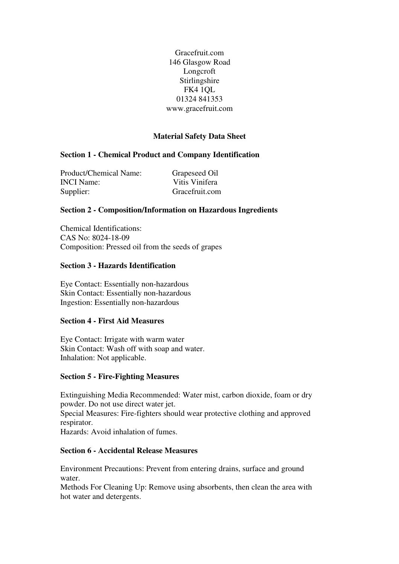Gracefruit.com 146 Glasgow Road Longcroft Stirlingshire FK4 1QL 01324 841353 www.gracefruit.com

# **Material Safety Data Sheet**

## **Section 1 - Chemical Product and Company Identification**

Product/Chemical Name: Grapeseed Oil INCI Name: Vitis Vinifera Supplier: Gracefruit.com

#### **Section 2 - Composition/Information on Hazardous Ingredients**

Chemical Identifications: CAS No: 8024-18-09 Composition: Pressed oil from the seeds of grapes

#### **Section 3 - Hazards Identification**

Eye Contact: Essentially non-hazardous Skin Contact: Essentially non-hazardous Ingestion: Essentially non-hazardous

### **Section 4 - First Aid Measures**

Eye Contact: Irrigate with warm water Skin Contact: Wash off with soap and water. Inhalation: Not applicable.

#### **Section 5 - Fire-Fighting Measures**

Extinguishing Media Recommended: Water mist, carbon dioxide, foam or dry powder. Do not use direct water jet.

Special Measures: Fire-fighters should wear protective clothing and approved respirator.

Hazards: Avoid inhalation of fumes.

## **Section 6 - Accidental Release Measures**

Environment Precautions: Prevent from entering drains, surface and ground water.

Methods For Cleaning Up: Remove using absorbents, then clean the area with hot water and detergents.